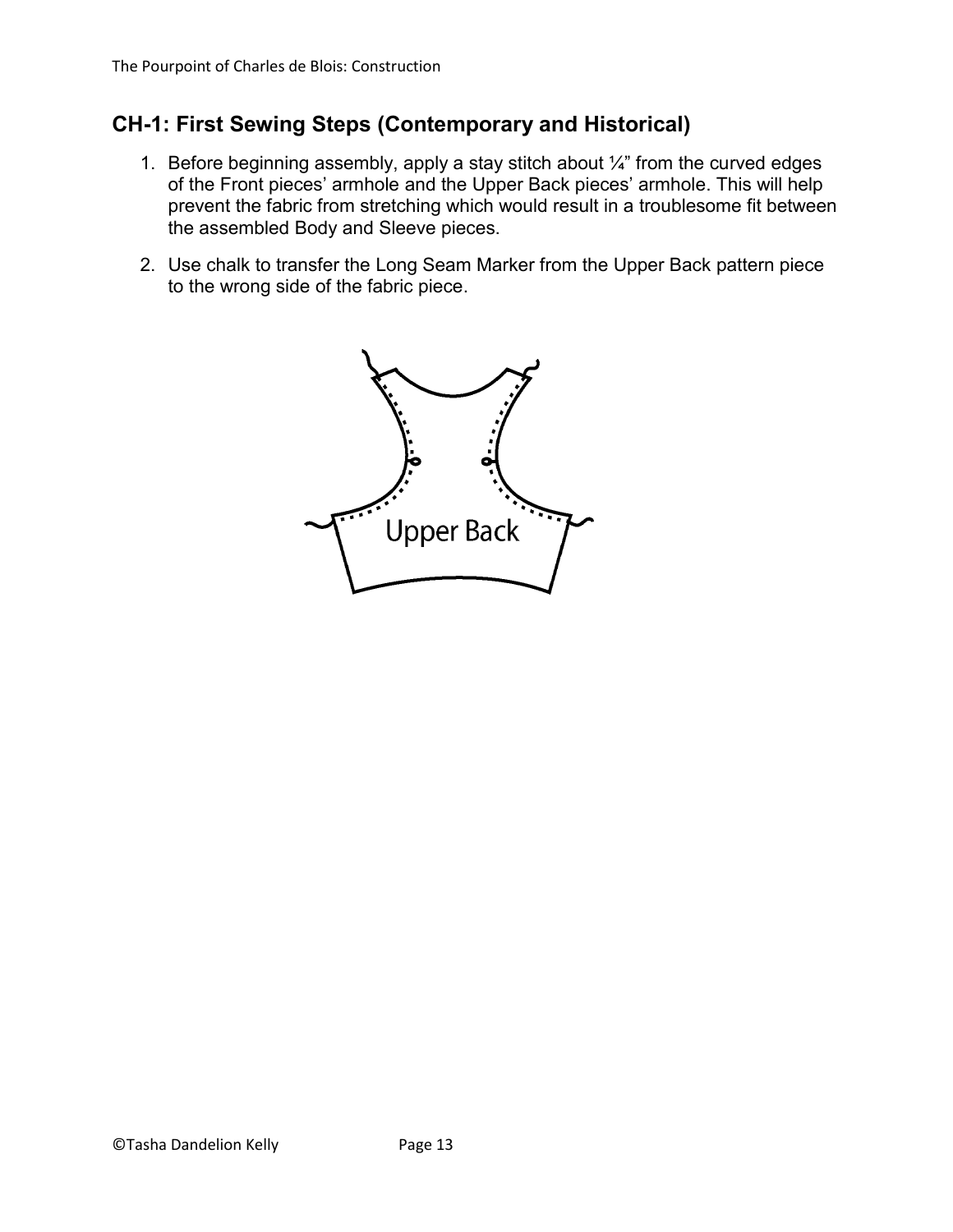### **CH-1: First Sewing Steps (Contemporary and Historical)**

- 1. Before beginning assembly, apply a stay stitch about  $\frac{1}{4}$ " from the curved edges of the Front pieces' armhole and the Upper Back pieces' armhole. This will help prevent the fabric from stretching which would result in a troublesome fit between the assembled Body and Sleeve pieces.
- 2. Use chalk to transfer the Long Seam Marker from the Upper Back pattern piece to the wrong side of the fabric piece.

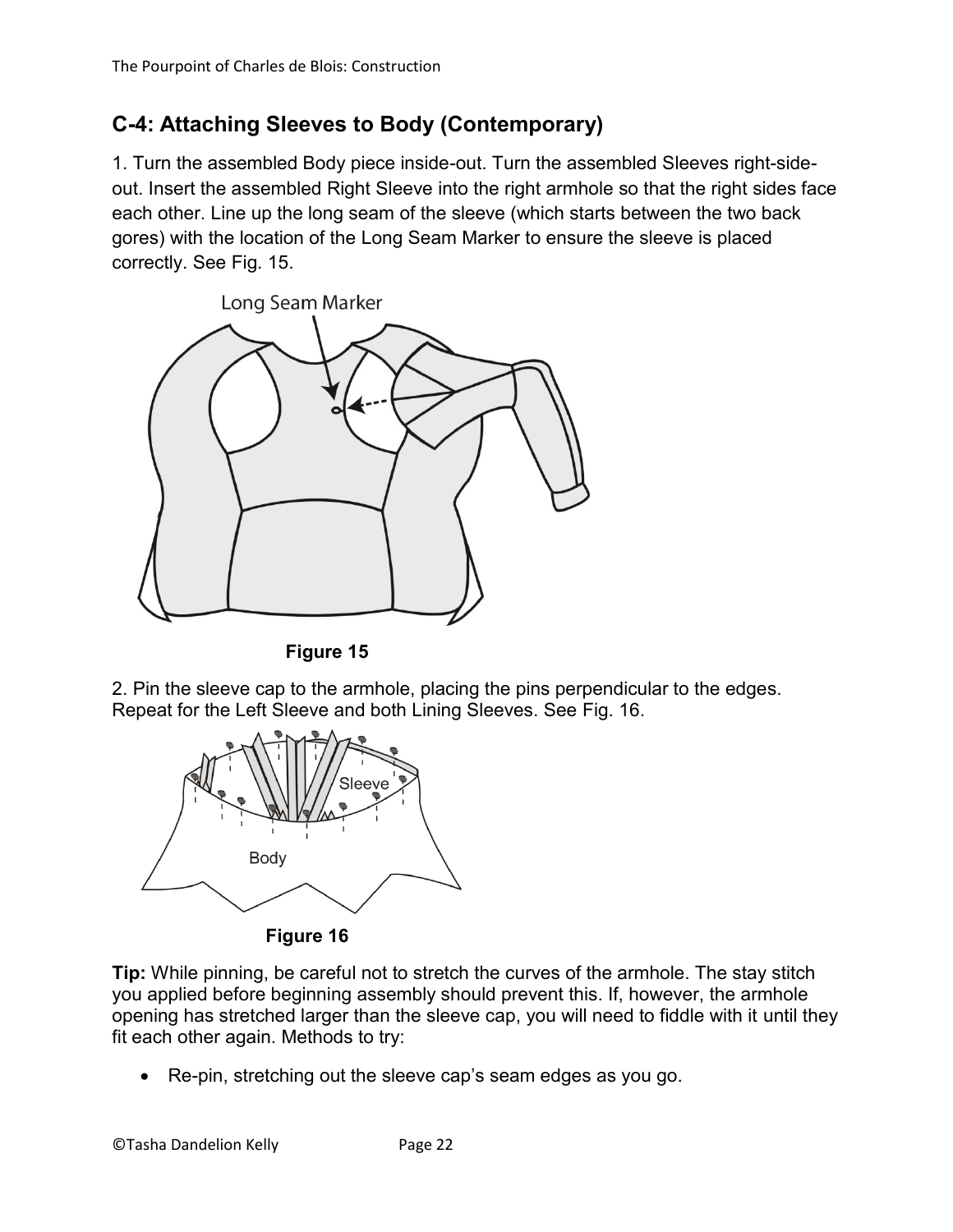# **C-4: Attaching Sleeves to Body (Contemporary)**

1. Turn the assembled Body piece inside-out. Turn the assembled Sleeves right-sideout. Insert the assembled Right Sleeve into the right armhole so that the right sides face each other. Line up the long seam of the sleeve (which starts between the two back gores) with the location of the Long Seam Marker to ensure the sleeve is placed correctly. See Fig. 15.



**Figure 15**

2. Pin the sleeve cap to the armhole, placing the pins perpendicular to the edges. Repeat for the Left Sleeve and both Lining Sleeves. See Fig. 16.



**Figure 16**

**Tip:** While pinning, be careful not to stretch the curves of the armhole. The stay stitch you applied before beginning assembly should prevent this. If, however, the armhole opening has stretched larger than the sleeve cap, you will need to fiddle with it until they fit each other again. Methods to try:

Re-pin, stretching out the sleeve cap's seam edges as you go.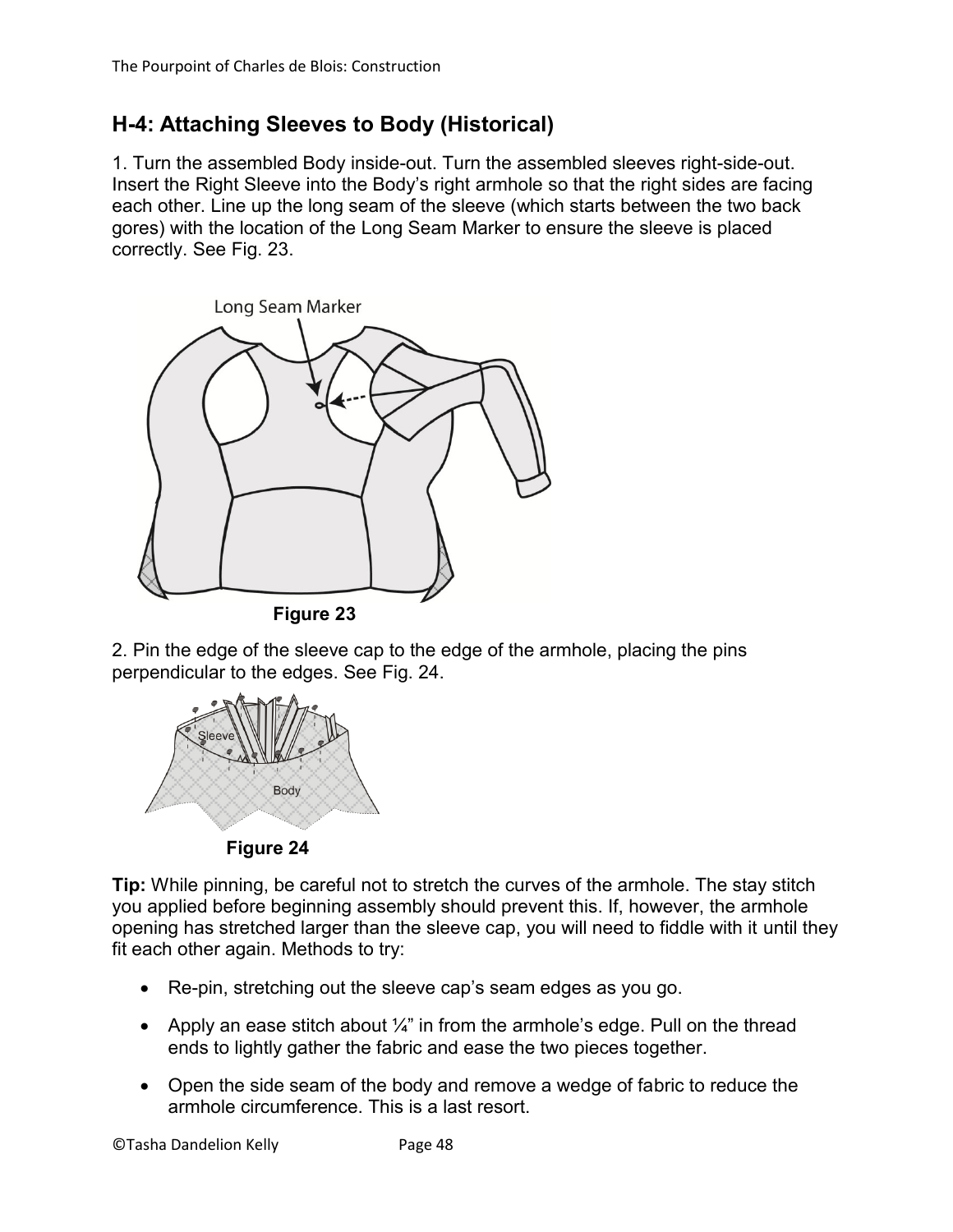## **H-4: Attaching Sleeves to Body (Historical)**

1. Turn the assembled Body inside-out. Turn the assembled sleeves right-side-out. Insert the Right Sleeve into the Body's right armhole so that the right sides are facing each other. Line up the long seam of the sleeve (which starts between the two back gores) with the location of the Long Seam Marker to ensure the sleeve is placed correctly. See Fig. 23.



2. Pin the edge of the sleeve cap to the edge of the armhole, placing the pins perpendicular to the edges. See Fig. 24.



**Figure 24**

**Tip:** While pinning, be careful not to stretch the curves of the armhole. The stay stitch you applied before beginning assembly should prevent this. If, however, the armhole opening has stretched larger than the sleeve cap, you will need to fiddle with it until they fit each other again. Methods to try:

- Re-pin, stretching out the sleeve cap's seam edges as you go.
- Apply an ease stitch about  $\frac{1}{4}$ " in from the armhole's edge. Pull on the thread ends to lightly gather the fabric and ease the two pieces together.
- Open the side seam of the body and remove a wedge of fabric to reduce the armhole circumference. This is a last resort.